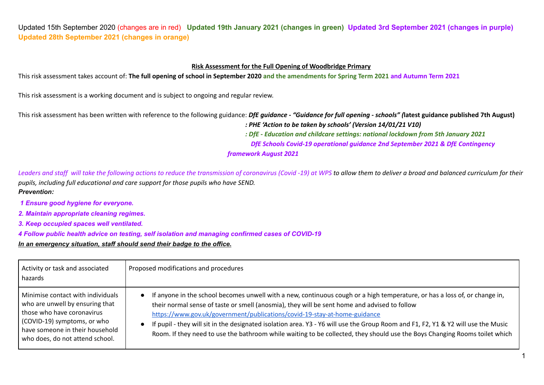### **Risk Assessment for the Full Opening of Woodbridge Primary**

This risk assessment takes account of: The full opening of school in September 2020 and the amendments for Spring Term 2021 and Autumn Term 2021

This risk assessment is a working document and is subject to ongoing and regular review.

This risk assessment has been written with reference to the following guidance: *DfE quidance - "Guidance for full opening - schools"* (latest guidance published 7th August) *: PHE 'Action to be taken by schools' (Version 14/01/21 V10)*

*: DfE - Education and childcare settings: national lockdown from 5th January 2021*

*DfE Schools Covid-19 operational guidance 2nd September 2021 & DfE Contingency*

*framework August 2021*

Leaders and staff will take the following actions to reduce the transmission of coronavirus (Covid-19) at WPS to allow them to deliver a broad and balanced curriculum for their *pupils, including full educational and care support for those pupils who have SEND.*

### *Prevention:*

- *1 Ensure good hygiene for everyone.*
- *2. Maintain appropriate cleaning regimes.*
- *3. Keep occupied spaces well ventilated.*

*4 Follow public health advice on testing, self isolation and managing confirmed cases of COVID-19*

*In an emergency situation, staff should send their badge to the office.*

| Activity or task and associated<br>hazards | Proposed modifications and procedures                                                                                             |
|--------------------------------------------|-----------------------------------------------------------------------------------------------------------------------------------|
| Minimise contact with individuals          | If anyone in the school becomes unwell with a new, continuous cough or a high temperature, or has a loss of, or change in,        |
| who are unwell by ensuring that            | $\bullet$                                                                                                                         |
| those who have coronavirus                 | their normal sense of taste or smell (anosmia), they will be sent home and advised to follow                                      |
| (COVID-19) symptoms, or who                | https://www.gov.uk/government/publications/covid-19-stay-at-home-guidance                                                         |
| have someone in their household            | If pupil - they will sit in the designated isolation area. Y3 - Y6 will use the Group Room and F1, F2, Y1 & Y2 will use the Music |
| who does, do not attend school.            | Room. If they need to use the bathroom while waiting to be collected, they should use the Boys Changing Rooms toilet which        |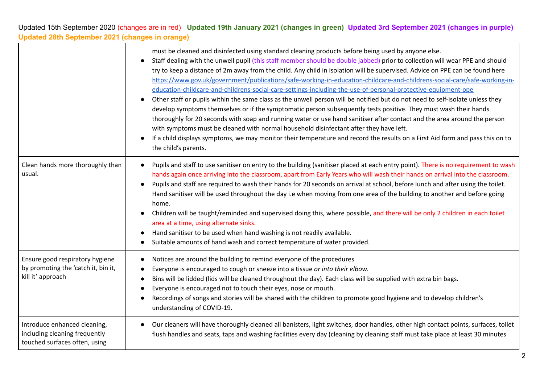|                                                                                                | must be cleaned and disinfected using standard cleaning products before being used by anyone else.<br>Staff dealing with the unwell pupil (this staff member should be double jabbed) prior to collection will wear PPE and should<br>$\bullet$<br>try to keep a distance of 2m away from the child. Any child in isolation will be supervised. Advice on PPE can be found here<br>https://www.gov.uk/government/publications/safe-working-in-education-childcare-and-childrens-social-care/safe-working-in-<br>education-childcare-and-childrens-social-care-settings-including-the-use-of-personal-protective-equipment-ppe<br>Other staff or pupils within the same class as the unwell person will be notified but do not need to self-isolate unless they<br>$\bullet$<br>develop symptoms themselves or if the symptomatic person subsequently tests positive. They must wash their hands<br>thoroughly for 20 seconds with soap and running water or use hand sanitiser after contact and the area around the person<br>with symptoms must be cleaned with normal household disinfectant after they have left.<br>If a child displays symptoms, we may monitor their temperature and record the results on a First Aid form and pass this on to<br>the child's parents. |
|------------------------------------------------------------------------------------------------|--------------------------------------------------------------------------------------------------------------------------------------------------------------------------------------------------------------------------------------------------------------------------------------------------------------------------------------------------------------------------------------------------------------------------------------------------------------------------------------------------------------------------------------------------------------------------------------------------------------------------------------------------------------------------------------------------------------------------------------------------------------------------------------------------------------------------------------------------------------------------------------------------------------------------------------------------------------------------------------------------------------------------------------------------------------------------------------------------------------------------------------------------------------------------------------------------------------------------------------------------------------------------------|
| Clean hands more thoroughly than<br>usual.                                                     | Pupils and staff to use sanitiser on entry to the building (sanitiser placed at each entry point). There is no requirement to wash<br>hands again once arriving into the classroom, apart from Early Years who will wash their hands on arrival into the classroom.<br>Pupils and staff are required to wash their hands for 20 seconds on arrival at school, before lunch and after using the toilet.<br>Hand sanitiser will be used throughout the day i.e when moving from one area of the building to another and before going<br>home.<br>Children will be taught/reminded and supervised doing this, where possible, and there will be only 2 children in each toilet<br>area at a time, using alternate sinks.<br>Hand sanitiser to be used when hand washing is not readily available.<br>Suitable amounts of hand wash and correct temperature of water provided.                                                                                                                                                                                                                                                                                                                                                                                                     |
| Ensure good respiratory hygiene<br>by promoting the 'catch it, bin it,<br>kill it' approach    | Notices are around the building to remind everyone of the procedures<br>$\bullet$<br>Everyone is encouraged to cough or sneeze into a tissue or into their elbow.<br>Bins will be lidded (lids will be cleaned throughout the day). Each class will be supplied with extra bin bags.<br>Everyone is encouraged not to touch their eyes, nose or mouth.<br>Recordings of songs and stories will be shared with the children to promote good hygiene and to develop children's<br>understanding of COVID-19.                                                                                                                                                                                                                                                                                                                                                                                                                                                                                                                                                                                                                                                                                                                                                                     |
| Introduce enhanced cleaning,<br>including cleaning frequently<br>touched surfaces often, using | Our cleaners will have thoroughly cleaned all banisters, light switches, door handles, other high contact points, surfaces, toilet<br>$\bullet$<br>flush handles and seats, taps and washing facilities every day (cleaning by cleaning staff must take place at least 30 minutes                                                                                                                                                                                                                                                                                                                                                                                                                                                                                                                                                                                                                                                                                                                                                                                                                                                                                                                                                                                              |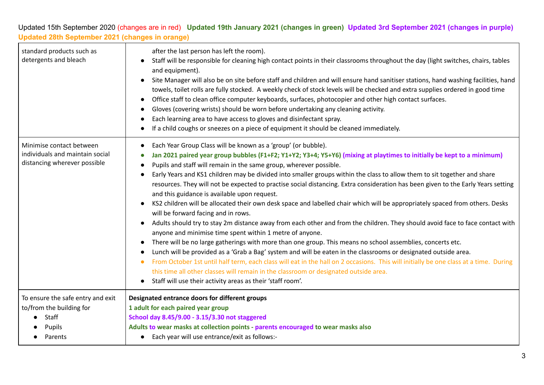| standard products such as<br>detergents and bleach                                          | after the last person has left the room).<br>Staff will be responsible for cleaning high contact points in their classrooms throughout the day (light switches, chairs, tables<br>and equipment).<br>Site Manager will also be on site before staff and children and will ensure hand sanitiser stations, hand washing facilities, hand<br>$\bullet$<br>towels, toilet rolls are fully stocked. A weekly check of stock levels will be checked and extra supplies ordered in good time<br>Office staff to clean office computer keyboards, surfaces, photocopier and other high contact surfaces.<br>$\bullet$<br>Gloves (covering wrists) should be worn before undertaking any cleaning activity.<br>Each learning area to have access to gloves and disinfectant spray.<br>If a child coughs or sneezes on a piece of equipment it should be cleaned immediately.                                                                                                                                                                                                                                                                                                                                                                                                                                                                                                                                                                                                                                                                               |
|---------------------------------------------------------------------------------------------|----------------------------------------------------------------------------------------------------------------------------------------------------------------------------------------------------------------------------------------------------------------------------------------------------------------------------------------------------------------------------------------------------------------------------------------------------------------------------------------------------------------------------------------------------------------------------------------------------------------------------------------------------------------------------------------------------------------------------------------------------------------------------------------------------------------------------------------------------------------------------------------------------------------------------------------------------------------------------------------------------------------------------------------------------------------------------------------------------------------------------------------------------------------------------------------------------------------------------------------------------------------------------------------------------------------------------------------------------------------------------------------------------------------------------------------------------------------------------------------------------------------------------------------------------|
| Minimise contact between<br>individuals and maintain social<br>distancing wherever possible | Each Year Group Class will be known as a 'group' (or bubble).<br>Jan 2021 paired year group bubbles (F1+F2; Y1+Y2; Y3+4; Y5+Y6) (mixing at playtimes to initially be kept to a minimum)<br>Pupils and staff will remain in the same group, wherever possible.<br>Early Years and KS1 children may be divided into smaller groups within the class to allow them to sit together and share<br>$\bullet$<br>resources. They will not be expected to practise social distancing. Extra consideration has been given to the Early Years setting<br>and this guidance is available upon request.<br>KS2 children will be allocated their own desk space and labelled chair which will be appropriately spaced from others. Desks<br>will be forward facing and in rows.<br>Adults should try to stay 2m distance away from each other and from the children. They should avoid face to face contact with<br>$\bullet$<br>anyone and minimise time spent within 1 metre of anyone.<br>There will be no large gatherings with more than one group. This means no school assemblies, concerts etc.<br>$\bullet$<br>Lunch will be provided as a 'Grab a Bag' system and will be eaten in the classrooms or designated outside area.<br>From October 1st until half term, each class will eat in the hall on 2 occasions. This will initially be one class at a time. During<br>$\bullet$<br>this time all other classes will remain in the classroom or designated outside area.<br>Staff will use their activity areas as their 'staff room'.<br>$\bullet$ |
| To ensure the safe entry and exit<br>to/from the building for<br>Staff<br>Pupils<br>Parents | Designated entrance doors for different groups<br>1 adult for each paired year group<br>School day 8.45/9.00 - 3.15/3.30 not staggered<br>Adults to wear masks at collection points - parents encouraged to wear masks also<br>• Each year will use entrance/exit as follows:-                                                                                                                                                                                                                                                                                                                                                                                                                                                                                                                                                                                                                                                                                                                                                                                                                                                                                                                                                                                                                                                                                                                                                                                                                                                                     |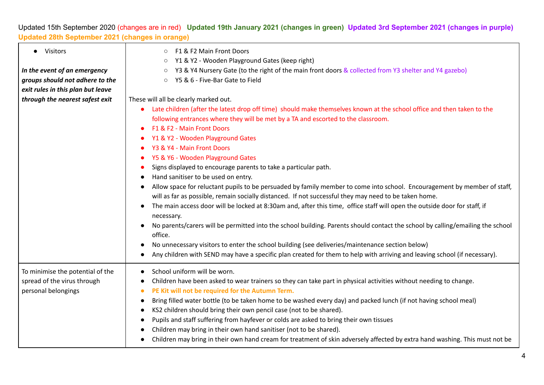| Visitors<br>In the event of an emergency<br>groups should not adhere to the<br>exit rules in this plan but leave | F1 & F2 Main Front Doors<br>$\circ$<br>Y1 & Y2 - Wooden Playground Gates (keep right)<br>$\circ$<br>Y3 & Y4 Nursery Gate (to the right of the main front doors & collected from Y3 shelter and Y4 gazebo)<br>$\circ$<br>Y5 & 6 - Five-Bar Gate to Field<br>$\circ$                                                                                                                                                                                                                                                                                                                                                                                                                                                                                                                                                                                                                                                                                                                                                                                                                                                                                                                                                                                                |
|------------------------------------------------------------------------------------------------------------------|-------------------------------------------------------------------------------------------------------------------------------------------------------------------------------------------------------------------------------------------------------------------------------------------------------------------------------------------------------------------------------------------------------------------------------------------------------------------------------------------------------------------------------------------------------------------------------------------------------------------------------------------------------------------------------------------------------------------------------------------------------------------------------------------------------------------------------------------------------------------------------------------------------------------------------------------------------------------------------------------------------------------------------------------------------------------------------------------------------------------------------------------------------------------------------------------------------------------------------------------------------------------|
| through the nearest safest exit                                                                                  | These will all be clearly marked out.<br>Late children (after the latest drop off time) should make themselves known at the school office and then taken to the<br>following entrances where they will be met by a TA and escorted to the classroom.<br>F1 & F2 - Main Front Doors<br>Y1 & Y2 - Wooden Playground Gates<br>Y3 & Y4 - Main Front Doors<br>Y5 & Y6 - Wooden Playground Gates<br>Signs displayed to encourage parents to take a particular path.<br>Hand sanitiser to be used on entry.<br>Allow space for reluctant pupils to be persuaded by family member to come into school. Encouragement by member of staff,<br>will as far as possible, remain socially distanced. If not successful they may need to be taken home.<br>The main access door will be locked at 8:30am and, after this time, office staff will open the outside door for staff, if<br>necessary.<br>No parents/carers will be permitted into the school building. Parents should contact the school by calling/emailing the school<br>office.<br>No unnecessary visitors to enter the school building (see deliveries/maintenance section below)<br>Any children with SEND may have a specific plan created for them to help with arriving and leaving school (if necessary). |
| To minimise the potential of the<br>spread of the virus through<br>personal belongings                           | School uniform will be worn.<br>$\bullet$<br>Children have been asked to wear trainers so they can take part in physical activities without needing to change.<br>$\bullet$<br>PE Kit will not be required for the Autumn Term.<br>Bring filled water bottle (to be taken home to be washed every day) and packed lunch (if not having school meal)<br>$\bullet$<br>KS2 children should bring their own pencil case (not to be shared).<br>Pupils and staff suffering from hayfever or colds are asked to bring their own tissues<br>Children may bring in their own hand sanitiser (not to be shared).<br>Children may bring in their own hand cream for treatment of skin adversely affected by extra hand washing. This must not be                                                                                                                                                                                                                                                                                                                                                                                                                                                                                                                            |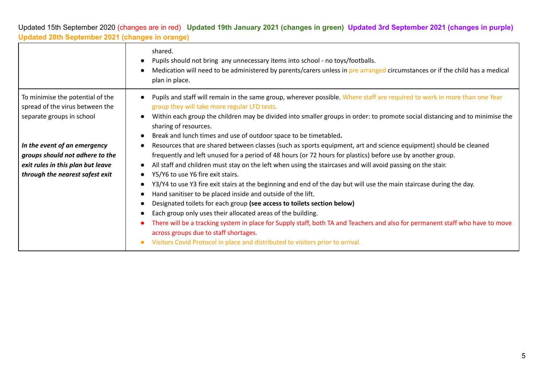|                                                                                                                                         | shared.<br>Pupils should not bring any unnecessary items into school - no toys/footballs.<br>Medication will need to be administered by parents/carers unless in pre arranged circumstances or if the child has a medical<br>plan in place.                                                                                                                                                                                                                                                                                                                                                                                                                                                                                                                                                                                                                                                                                                                                                                                                                                     |
|-----------------------------------------------------------------------------------------------------------------------------------------|---------------------------------------------------------------------------------------------------------------------------------------------------------------------------------------------------------------------------------------------------------------------------------------------------------------------------------------------------------------------------------------------------------------------------------------------------------------------------------------------------------------------------------------------------------------------------------------------------------------------------------------------------------------------------------------------------------------------------------------------------------------------------------------------------------------------------------------------------------------------------------------------------------------------------------------------------------------------------------------------------------------------------------------------------------------------------------|
| To minimise the potential of the<br>spread of the virus between the<br>separate groups in school                                        | Pupils and staff will remain in the same group, wherever possible. Where staff are required to work in more than one Year<br>group they will take more regular LFD tests.<br>Within each group the children may be divided into smaller groups in order: to promote social distancing and to minimise the<br>sharing of resources.                                                                                                                                                                                                                                                                                                                                                                                                                                                                                                                                                                                                                                                                                                                                              |
| In the event of an emergency<br>groups should not adhere to the<br>exit rules in this plan but leave<br>through the nearest safest exit | Break and lunch times and use of outdoor space to be timetabled.<br>$\bullet$<br>Resources that are shared between classes (such as sports equipment, art and science equipment) should be cleaned<br>frequently and left unused for a period of 48 hours (or 72 hours for plastics) before use by another group.<br>All staff and children must stay on the left when using the staircases and will avoid passing on the stair.<br>Y5/Y6 to use Y6 fire exit stairs.<br>Y3/Y4 to use Y3 fire exit stairs at the beginning and end of the day but will use the main staircase during the day.<br>Hand sanitiser to be placed inside and outside of the lift.<br>Designated toilets for each group (see access to toilets section below)<br>Each group only uses their allocated areas of the building.<br>There will be a tracking system in place for Supply staff, both TA and Teachers and also for permanent staff who have to move<br>across groups due to staff shortages.<br>Visitors Covid Protocol in place and distributed to visitors prior to arrival.<br>$\bullet$ |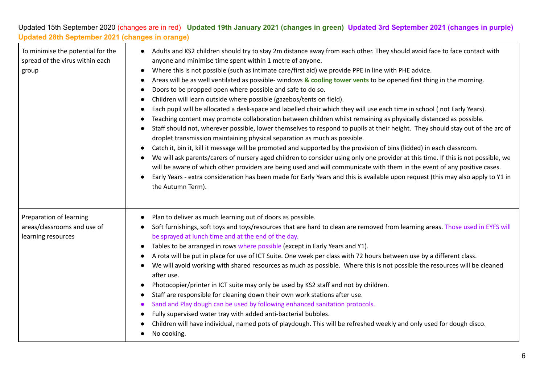| To minimise the potential for the<br>spread of the virus within each<br>group | Adults and KS2 children should try to stay 2m distance away from each other. They should avoid face to face contact with<br>$\bullet$<br>anyone and minimise time spent within 1 metre of anyone.<br>Where this is not possible (such as intimate care/first aid) we provide PPE in line with PHE advice.<br>$\bullet$<br>Areas will be as well ventilated as possible- windows $\&$ cooling tower vents to be opened first thing in the morning.<br>Doors to be propped open where possible and safe to do so.<br>Children will learn outside where possible (gazebos/tents on field).<br>Each pupil will be allocated a desk-space and labelled chair which they will use each time in school (not Early Years).<br>Teaching content may promote collaboration between children whilst remaining as physically distanced as possible.<br>Staff should not, wherever possible, lower themselves to respond to pupils at their height. They should stay out of the arc of<br>droplet transmission maintaining physical separation as much as possible.<br>Catch it, bin it, kill it message will be promoted and supported by the provision of bins (lidded) in each classroom.<br>We will ask parents/carers of nursery aged children to consider using only one provider at this time. If this is not possible, we<br>will be aware of which other providers are being used and will communicate with them in the event of any positive cases.<br>Early Years - extra consideration has been made for Early Years and this is available upon request (this may also apply to Y1 in<br>the Autumn Term). |
|-------------------------------------------------------------------------------|-----------------------------------------------------------------------------------------------------------------------------------------------------------------------------------------------------------------------------------------------------------------------------------------------------------------------------------------------------------------------------------------------------------------------------------------------------------------------------------------------------------------------------------------------------------------------------------------------------------------------------------------------------------------------------------------------------------------------------------------------------------------------------------------------------------------------------------------------------------------------------------------------------------------------------------------------------------------------------------------------------------------------------------------------------------------------------------------------------------------------------------------------------------------------------------------------------------------------------------------------------------------------------------------------------------------------------------------------------------------------------------------------------------------------------------------------------------------------------------------------------------------------------------------------------------------------------------------------------------|
| Preparation of learning<br>areas/classrooms and use of<br>learning resources  | Plan to deliver as much learning out of doors as possible.<br>$\bullet$<br>Soft furnishings, soft toys and toys/resources that are hard to clean are removed from learning areas. Those used in EYFS will<br>be sprayed at lunch time and at the end of the day.<br>Tables to be arranged in rows where possible (except in Early Years and Y1).<br>A rota will be put in place for use of ICT Suite. One week per class with 72 hours between use by a different class.<br>We will avoid working with shared resources as much as possible. Where this is not possible the resources will be cleaned<br>after use.<br>Photocopier/printer in ICT suite may only be used by KS2 staff and not by children.<br>Staff are responsible for cleaning down their own work stations after use.<br>Sand and Play dough can be used by following enhanced sanitation protocols.<br>$\bullet$<br>Fully supervised water tray with added anti-bacterial bubbles.<br>Children will have individual, named pots of playdough. This will be refreshed weekly and only used for dough disco.<br>No cooking.                                                                                                                                                                                                                                                                                                                                                                                                                                                                                                             |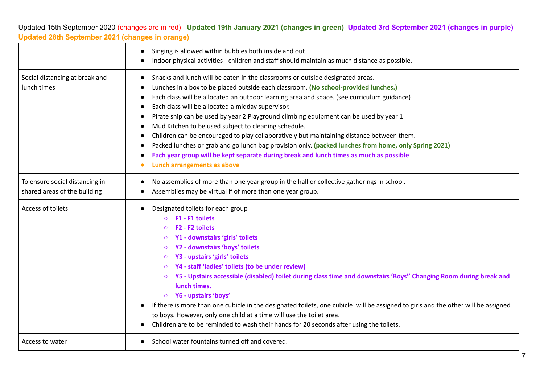|                                                                | Singing is allowed within bubbles both inside and out.<br>Indoor physical activities - children and staff should maintain as much distance as possible.                                                                                                                                                                                                                                                                                                                                                                                                                                                                                                                                                                                                                                                                          |
|----------------------------------------------------------------|----------------------------------------------------------------------------------------------------------------------------------------------------------------------------------------------------------------------------------------------------------------------------------------------------------------------------------------------------------------------------------------------------------------------------------------------------------------------------------------------------------------------------------------------------------------------------------------------------------------------------------------------------------------------------------------------------------------------------------------------------------------------------------------------------------------------------------|
| Social distancing at break and<br>lunch times                  | Snacks and lunch will be eaten in the classrooms or outside designated areas.<br>Lunches in a box to be placed outside each classroom. (No school-provided lunches.)<br>$\bullet$<br>Each class will be allocated an outdoor learning area and space. (see curriculum guidance)<br>Each class will be allocated a midday supervisor.<br>Pirate ship can be used by year 2 Playground climbing equipment can be used by year 1<br>Mud Kitchen to be used subject to cleaning schedule.<br>$\bullet$<br>Children can be encouraged to play collaboratively but maintaining distance between them.<br>Packed lunches or grab and go lunch bag provision only. (packed lunches from home, only Spring 2021)<br>Each year group will be kept separate during break and lunch times as much as possible<br>Lunch arrangements as above |
| To ensure social distancing in<br>shared areas of the building | No assemblies of more than one year group in the hall or collective gatherings in school.<br>Assemblies may be virtual if of more than one year group.                                                                                                                                                                                                                                                                                                                                                                                                                                                                                                                                                                                                                                                                           |
| Access of toilets                                              | Designated toilets for each group<br>F1 - F1 toilets<br>$\circ$<br>F <sub>2</sub> - F <sub>2</sub> toilets<br>Y1 - downstairs 'girls' toilets<br>$\circ$<br>Y2 - downstairs 'boys' toilets<br>$\circ$<br>Y3 - upstairs 'girls' toilets<br>$\circ$<br>Y4 - staff 'ladies' toilets (to be under review)<br>Y5 - Upstairs accessible (disabled) toilet during class time and downstairs 'Boys'' Changing Room during break and<br>$\circ$<br>lunch times.<br>Y6 - upstairs 'boys'<br>$\circ$<br>If there is more than one cubicle in the designated toilets, one cubicle will be assigned to girls and the other will be assigned<br>to boys. However, only one child at a time will use the toilet area.<br>Children are to be reminded to wash their hands for 20 seconds after using the toilets.                                |
| Access to water                                                | School water fountains turned off and covered.<br>$\bullet$                                                                                                                                                                                                                                                                                                                                                                                                                                                                                                                                                                                                                                                                                                                                                                      |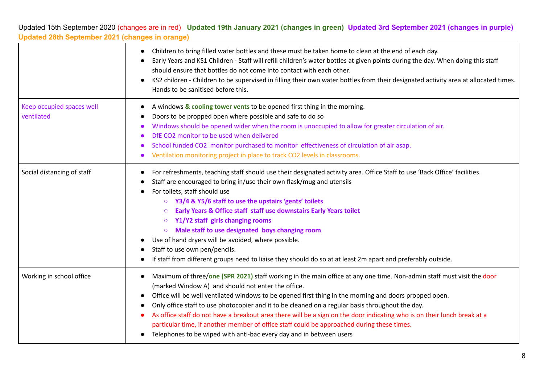|                                         | Children to bring filled water bottles and these must be taken home to clean at the end of each day.<br>Early Years and KS1 Children - Staff will refill children's water bottles at given points during the day. When doing this staff<br>should ensure that bottles do not come into contact with each other.<br>KS2 children - Children to be supervised in filling their own water bottles from their designated activity area at allocated times.<br>$\bullet$<br>Hands to be sanitised before this.                                                                                                                                                                                            |
|-----------------------------------------|------------------------------------------------------------------------------------------------------------------------------------------------------------------------------------------------------------------------------------------------------------------------------------------------------------------------------------------------------------------------------------------------------------------------------------------------------------------------------------------------------------------------------------------------------------------------------------------------------------------------------------------------------------------------------------------------------|
| Keep occupied spaces well<br>ventilated | A windows & cooling tower vents to be opened first thing in the morning.<br>Doors to be propped open where possible and safe to do so<br>Windows should be opened wider when the room is unoccupied to allow for greater circulation of air.<br>DfE CO2 monitor to be used when delivered<br>School funded CO2 monitor purchased to monitor effectiveness of circulation of air asap.<br>Ventilation monitoring project in place to track CO2 levels in classrooms.                                                                                                                                                                                                                                  |
| Social distancing of staff              | For refreshments, teaching staff should use their designated activity area. Office Staff to use 'Back Office' facilities.<br>Staff are encouraged to bring in/use their own flask/mug and utensils<br>For toilets, staff should use<br>○ Y3/4 & Y5/6 staff to use the upstairs 'gents' toilets<br>Early Years & Office staff staff use downstairs Early Years toilet<br>$\circ$<br>Y1/Y2 staff girls changing rooms<br>$\circ$<br>Male staff to use designated boys changing room<br>$\circ$<br>Use of hand dryers will be avoided, where possible.<br>Staff to use own pen/pencils.<br>If staff from different groups need to liaise they should do so at at least 2m apart and preferably outside. |
| Working in school office                | Maximum of three/one (SPR 2021) staff working in the main office at any one time. Non-admin staff must visit the door<br>(marked Window A) and should not enter the office.<br>Office will be well ventilated windows to be opened first thing in the morning and doors propped open.<br>Only office staff to use photocopier and it to be cleaned on a regular basis throughout the day.<br>As office staff do not have a breakout area there will be a sign on the door indicating who is on their lunch break at a<br>particular time, if another member of office staff could be approached during these times.<br>Telephones to be wiped with anti-bac every day and in between users           |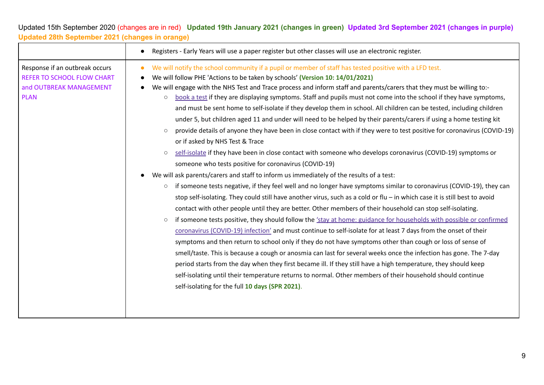|                                                                                                               | Registers - Early Years will use a paper register but other classes will use an electronic register.                                                                                                                                                                                                                                                                                                                                                                                                                                                                                                                                                                                                                                                                                                                                                                                                                                                                                                                                                                                                                                                                                                                                                                                                                                                                                                                                                                                                                                                                                                                                                                                                                                                                                                                                                                                                                                                                                                                                                                                                                                                                                                                                                                                                                  |
|---------------------------------------------------------------------------------------------------------------|-----------------------------------------------------------------------------------------------------------------------------------------------------------------------------------------------------------------------------------------------------------------------------------------------------------------------------------------------------------------------------------------------------------------------------------------------------------------------------------------------------------------------------------------------------------------------------------------------------------------------------------------------------------------------------------------------------------------------------------------------------------------------------------------------------------------------------------------------------------------------------------------------------------------------------------------------------------------------------------------------------------------------------------------------------------------------------------------------------------------------------------------------------------------------------------------------------------------------------------------------------------------------------------------------------------------------------------------------------------------------------------------------------------------------------------------------------------------------------------------------------------------------------------------------------------------------------------------------------------------------------------------------------------------------------------------------------------------------------------------------------------------------------------------------------------------------------------------------------------------------------------------------------------------------------------------------------------------------------------------------------------------------------------------------------------------------------------------------------------------------------------------------------------------------------------------------------------------------------------------------------------------------------------------------------------------------|
| Response if an outbreak occurs<br><b>REFER TO SCHOOL FLOW CHART</b><br>and OUTBREAK MANAGEMENT<br><b>PLAN</b> | We will notify the school community if a pupil or member of staff has tested positive with a LFD test.<br>٠<br>We will follow PHE 'Actions to be taken by schools' (Version 10: 14/01/2021)<br>We will engage with the NHS Test and Trace process and inform staff and parents/carers that they must be willing to:-<br>book a test if they are displaying symptoms. Staff and pupils must not come into the school if they have symptoms,<br>$\circ$<br>and must be sent home to self-isolate if they develop them in school. All children can be tested, including children<br>under 5, but children aged 11 and under will need to be helped by their parents/carers if using a home testing kit<br>provide details of anyone they have been in close contact with if they were to test positive for coronavirus (COVID-19)<br>$\circ$<br>or if asked by NHS Test & Trace<br>self-isolate if they have been in close contact with someone who develops coronavirus (COVID-19) symptoms or<br>$\circ$<br>someone who tests positive for coronavirus (COVID-19)<br>We will ask parents/carers and staff to inform us immediately of the results of a test:<br>if someone tests negative, if they feel well and no longer have symptoms similar to coronavirus (COVID-19), they can<br>$\circ$<br>stop self-isolating. They could still have another virus, such as a cold or flu $-$ in which case it is still best to avoid<br>contact with other people until they are better. Other members of their household can stop self-isolating.<br>if someone tests positive, they should follow the 'stay at home: guidance for households with possible or confirmed<br>$\circ$<br>coronavirus (COVID-19) infection' and must continue to self-isolate for at least 7 days from the onset of their<br>symptoms and then return to school only if they do not have symptoms other than cough or loss of sense of<br>smell/taste. This is because a cough or anosmia can last for several weeks once the infection has gone. The 7-day<br>period starts from the day when they first became ill. If they still have a high temperature, they should keep<br>self-isolating until their temperature returns to normal. Other members of their household should continue<br>self-isolating for the full 10 days (SPR 2021). |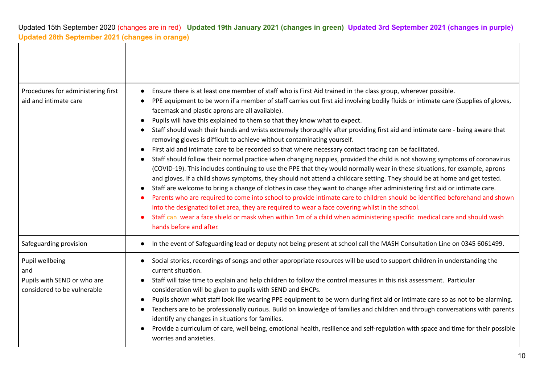| Procedures for administering first<br>aid and intimate care                          | Ensure there is at least one member of staff who is First Aid trained in the class group, wherever possible.<br>PPE equipment to be worn if a member of staff carries out first aid involving bodily fluids or intimate care (Supplies of gloves,<br>facemask and plastic aprons are all available).<br>Pupils will have this explained to them so that they know what to expect.<br>Staff should wash their hands and wrists extremely thoroughly after providing first aid and intimate care - being aware that<br>removing gloves is difficult to achieve without contaminating yourself.<br>First aid and intimate care to be recorded so that where necessary contact tracing can be facilitated.<br>Staff should follow their normal practice when changing nappies, provided the child is not showing symptoms of coronavirus<br>(COVID-19). This includes continuing to use the PPE that they would normally wear in these situations, for example, aprons<br>and gloves. If a child shows symptoms, they should not attend a childcare setting. They should be at home and get tested.<br>Staff are welcome to bring a change of clothes in case they want to change after administering first aid or intimate care.<br>Parents who are required to come into school to provide intimate care to children should be identified beforehand and shown<br>into the designated toilet area, they are required to wear a face covering whilst in the school.<br>Staff can wear a face shield or mask when within 1m of a child when administering specific medical care and should wash<br>hands before and after. |
|--------------------------------------------------------------------------------------|------------------------------------------------------------------------------------------------------------------------------------------------------------------------------------------------------------------------------------------------------------------------------------------------------------------------------------------------------------------------------------------------------------------------------------------------------------------------------------------------------------------------------------------------------------------------------------------------------------------------------------------------------------------------------------------------------------------------------------------------------------------------------------------------------------------------------------------------------------------------------------------------------------------------------------------------------------------------------------------------------------------------------------------------------------------------------------------------------------------------------------------------------------------------------------------------------------------------------------------------------------------------------------------------------------------------------------------------------------------------------------------------------------------------------------------------------------------------------------------------------------------------------------------------------------------------------------------------------------------------|
| Safeguarding provision                                                               | In the event of Safeguarding lead or deputy not being present at school call the MASH Consultation Line on 0345 6061499.                                                                                                                                                                                                                                                                                                                                                                                                                                                                                                                                                                                                                                                                                                                                                                                                                                                                                                                                                                                                                                                                                                                                                                                                                                                                                                                                                                                                                                                                                               |
| Pupil wellbeing<br>and<br>Pupils with SEND or who are<br>considered to be vulnerable | Social stories, recordings of songs and other appropriate resources will be used to support children in understanding the<br>current situation.<br>Staff will take time to explain and help children to follow the control measures in this risk assessment. Particular<br>consideration will be given to pupils with SEND and EHCPs.<br>Pupils shown what staff look like wearing PPE equipment to be worn during first aid or intimate care so as not to be alarming.<br>Teachers are to be professionally curious. Build on knowledge of families and children and through conversations with parents<br>$\bullet$<br>identify any changes in situations for families.<br>Provide a curriculum of care, well being, emotional health, resilience and self-regulation with space and time for their possible<br>worries and anxieties.                                                                                                                                                                                                                                                                                                                                                                                                                                                                                                                                                                                                                                                                                                                                                                               |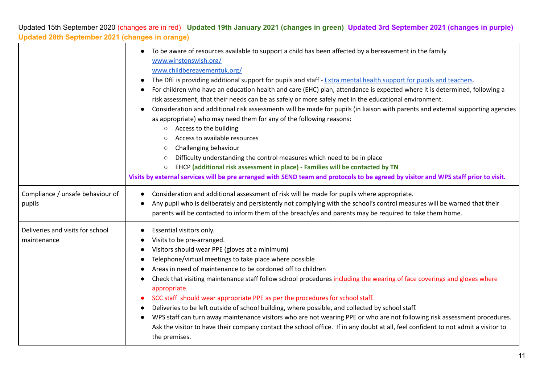|                                                 | To be aware of resources available to support a child has been affected by a bereavement in the family<br>www.winstonswish.org/<br>www.childbereavementuk.org/<br>The DfE is providing additional support for pupils and staff - Extra mental health support for pupils and teachers.<br>$\bullet$<br>For children who have an education health and care (EHC) plan, attendance is expected where it is determined, following a<br>risk assessment, that their needs can be as safely or more safely met in the educational environment.<br>Consideration and additional risk assessments will be made for pupils (in liaison with parents and external supporting agencies<br>as appropriate) who may need them for any of the following reasons:<br>Access to the building<br>$\circ$<br>Access to available resources<br>$\circ$<br>Challenging behaviour<br>$\circ$<br>Difficulty understanding the control measures which need to be in place<br>$\circ$<br>EHCP (additional risk assessment in place) - Families will be contacted by TN<br>$\circ$<br>Visits by external services will be pre arranged with SEND team and protocols to be agreed by visitor and WPS staff prior to visit. |
|-------------------------------------------------|--------------------------------------------------------------------------------------------------------------------------------------------------------------------------------------------------------------------------------------------------------------------------------------------------------------------------------------------------------------------------------------------------------------------------------------------------------------------------------------------------------------------------------------------------------------------------------------------------------------------------------------------------------------------------------------------------------------------------------------------------------------------------------------------------------------------------------------------------------------------------------------------------------------------------------------------------------------------------------------------------------------------------------------------------------------------------------------------------------------------------------------------------------------------------------------------------|
| Compliance / unsafe behaviour of<br>pupils      | Consideration and additional assessment of risk will be made for pupils where appropriate.<br>Any pupil who is deliberately and persistently not complying with the school's control measures will be warned that their<br>parents will be contacted to inform them of the breach/es and parents may be required to take them home.                                                                                                                                                                                                                                                                                                                                                                                                                                                                                                                                                                                                                                                                                                                                                                                                                                                              |
| Deliveries and visits for school<br>maintenance | Essential visitors only.<br>Visits to be pre-arranged.<br>Visitors should wear PPE (gloves at a minimum)<br>Telephone/virtual meetings to take place where possible<br>Areas in need of maintenance to be cordoned off to children<br>Check that visiting maintenance staff follow school procedures including the wearing of face coverings and gloves where<br>appropriate.<br>SCC staff should wear appropriate PPE as per the procedures for school staff.<br>Deliveries to be left outside of school building, where possible, and collected by school staff.<br>WPS staff can turn away maintenance visitors who are not wearing PPE or who are not following risk assessment procedures.<br>Ask the visitor to have their company contact the school office. If in any doubt at all, feel confident to not admit a visitor to<br>the premises.                                                                                                                                                                                                                                                                                                                                            |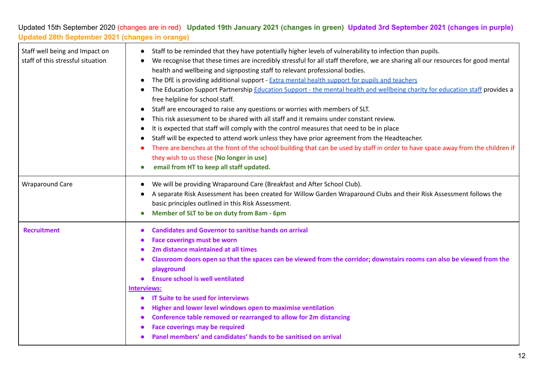| Staff well being and Impact on<br>staff of this stressful situation | Staff to be reminded that they have potentially higher levels of vulnerability to infection than pupils.<br>We recognise that these times are incredibly stressful for all staff therefore, we are sharing all our resources for good mental<br>health and wellbeing and signposting staff to relevant professional bodies.<br>The DfE is providing additional support - Extra mental health support for pupils and teachers<br>$\bullet$<br>The Education Support Partnership Education Support - the mental health and wellbeing charity for education staff provides a<br>free helpline for school staff.<br>Staff are encouraged to raise any questions or worries with members of SLT.<br>$\bullet$<br>This risk assessment to be shared with all staff and it remains under constant review.<br>It is expected that staff will comply with the control measures that need to be in place<br>Staff will be expected to attend work unless they have prior agreement from the Headteacher.<br>There are benches at the front of the school building that can be used by staff in order to have space away from the children if<br>they wish to us these (No longer in use)<br>email from HT to keep all staff updated. |
|---------------------------------------------------------------------|----------------------------------------------------------------------------------------------------------------------------------------------------------------------------------------------------------------------------------------------------------------------------------------------------------------------------------------------------------------------------------------------------------------------------------------------------------------------------------------------------------------------------------------------------------------------------------------------------------------------------------------------------------------------------------------------------------------------------------------------------------------------------------------------------------------------------------------------------------------------------------------------------------------------------------------------------------------------------------------------------------------------------------------------------------------------------------------------------------------------------------------------------------------------------------------------------------------------------|
| Wraparound Care                                                     | We will be providing Wraparound Care (Breakfast and After School Club).<br>A separate Risk Assessment has been created for Willow Garden Wraparound Clubs and their Risk Assessment follows the<br>basic principles outlined in this Risk Assessment.<br>Member of SLT to be on duty from 8am - 6pm                                                                                                                                                                                                                                                                                                                                                                                                                                                                                                                                                                                                                                                                                                                                                                                                                                                                                                                        |
| <b>Recruitment</b>                                                  | <b>Candidates and Governor to sanitise hands on arrival</b><br>Face coverings must be worn<br>2m distance maintained at all times<br>Classroom doors open so that the spaces can be viewed from the corridor; downstairs rooms can also be viewed from the<br>playground<br><b>Ensure school is well ventilated</b><br>Interviews:<br><b>IT Suite to be used for interviews</b><br>Higher and lower level windows open to maximise ventilation<br>Conference table removed or rearranged to allow for 2m distancing<br><b>Face coverings may be required</b><br>Panel members' and candidates' hands to be sanitised on arrival                                                                                                                                                                                                                                                                                                                                                                                                                                                                                                                                                                                            |